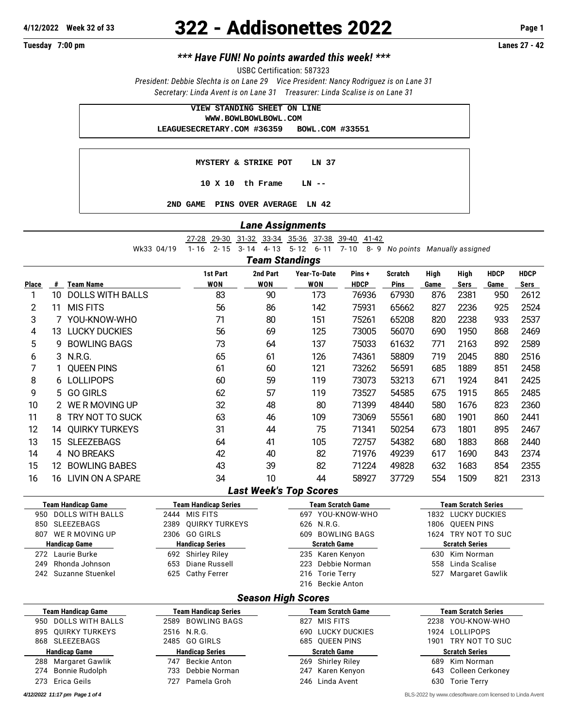## **4/12/2022 Week 32 of 33** 322 - Addisonettes 2022 **Page 1**

**Tuesday 7:00 pm Lanes 27 - 42**

## *\*\*\* Have FUN! No points awarded this week! \*\*\**

USBC Certification: 587323

*President: Debbie Slechta is on Lane 29 Vice President: Nancy Rodriguez is on Lane 31 Secretary: Linda Avent is on Lane 31 Treasurer: Linda Scalise is on Lane 31*

| VIEW STANDING SHEET ON LINE                |  |
|--------------------------------------------|--|
| WWW.BOWLBOWLBOWL.COM                       |  |
| LEAGUESECRETARY.COM #36359 BOWL.COM #33551 |  |
|                                            |  |
| <b>MYSTERY &amp; STRIKE POT LN 37</b>      |  |
| $10 \times 10$ th Frame<br>LN --           |  |
| PINS OVER AVERAGE LN 42<br>GAME<br>2ND.    |  |

## *Lane Assignments*

27-28 29-30 31-32 33-34 35-36 37-38 39-40 41-42

Wk33 04/19 1- 16 2- 15 3- 14 4- 13 5- 12 6- 11 7- 10 8- 9 *No points Manually assigned*

*Team Standings*

|              |    |                         | 1st Part   | 2nd Part | Year-To-Date | Pins+       | <b>Scratch</b> | High | High | <b>HDCP</b> | <b>HDCP</b> |
|--------------|----|-------------------------|------------|----------|--------------|-------------|----------------|------|------|-------------|-------------|
| <b>Place</b> | #  | <b>Team Name</b>        | <b>WON</b> | WON      | <b>WON</b>   | <b>HDCP</b> | <b>Pins</b>    | Game | Sers | Game        | Sers        |
|              | 10 | <b>DOLLS WITH BALLS</b> | 83         | 90       | 173          | 76936       | 67930          | 876  | 2381 | 950         | 2612        |
| 2            | 11 | <b>MIS FITS</b>         | 56         | 86       | 142          | 75931       | 65662          | 827  | 2236 | 925         | 2524        |
| 3            |    | YOU-KNOW-WHO            | 71         | 80       | 151          | 75261       | 65208          | 820  | 2238 | 933         | 2537        |
| 4            | 13 | <b>LUCKY DUCKIES</b>    | 56         | 69       | 125          | 73005       | 56070          | 690  | 1950 | 868         | 2469        |
| 5            | g  | <b>BOWLING BAGS</b>     | 73         | 64       | 137          | 75033       | 61632          | 771  | 2163 | 892         | 2589        |
| 6            |    | 3 N.R.G.                | 65         | 61       | 126          | 74361       | 58809          | 719  | 2045 | 880         | 2516        |
|              |    | <b>QUEEN PINS</b>       | 61         | 60       | 121          | 73262       | 56591          | 685  | 1889 | 851         | 2458        |
| 8            |    | 6 LOLLIPOPS             | 60         | 59       | 119          | 73073       | 53213          | 671  | 1924 | 841         | 2425        |
| 9            | 5. | <b>GO GIRLS</b>         | 62         | 57       | 119          | 73527       | 54585          | 675  | 1915 | 865         | 2485        |
| 10           |    | 2 WERMOVING UP          | 32         | 48       | 80           | 71399       | 48440          | 580  | 1676 | 823         | 2360        |
| 11           | 8  | TRY NOT TO SUCK         | 63         | 46       | 109          | 73069       | 55561          | 680  | 1901 | 860         | 2441        |
| 12           | 14 | <b>QUIRKY TURKEYS</b>   | 31         | 44       | 75           | 71341       | 50254          | 673  | 1801 | 895         | 2467        |
| 13           | 15 | <b>SLEEZEBAGS</b>       | 64         | 41       | 105          | 72757       | 54382          | 680  | 1883 | 868         | 2440        |
| 14           | 4  | <b>NO BREAKS</b>        | 42         | 40       | 82           | 71976       | 49239          | 617  | 1690 | 843         | 2374        |
| 15           | 12 | <b>BOWLING BABES</b>    | 43         | 39       | 82           | 71224       | 49828          | 632  | 1683 | 854         | 2355        |
| 16           | 16 | LIVIN ON A SPARE        | 34         | 10       | 44           | 58927       | 37729          | 554  | 1509 | 821         | 2313        |

## *Last Week's Top Scores*

| <b>Team Handicap Game</b>      | <b>Team Handicap Series</b> | Team Scratch Game   | <b>Team Scratch Series</b> |  |  |  |  |  |  |  |  |
|--------------------------------|-----------------------------|---------------------|----------------------------|--|--|--|--|--|--|--|--|
| <b>DOLLS WITH BALLS</b><br>950 | 2444 MIS FITS               | YOU-KNOW-WHO<br>697 | 1832 LUCKY DUCKIES         |  |  |  |  |  |  |  |  |
| SLEEZEBAGS<br>850              | 2389 OUIRKY TURKEYS         | 626 N.R.G.          | 1806 OUEEN PINS            |  |  |  |  |  |  |  |  |
| WE R MOVING UP<br>807          | 2306 GO GIRLS               | BOWLING BAGS<br>609 | 1624 TRY NOT TO SUC        |  |  |  |  |  |  |  |  |
| <b>Handicap Game</b>           | <b>Handicap Series</b>      | <b>Scratch Game</b> | <b>Scratch Series</b>      |  |  |  |  |  |  |  |  |
| 272 Laurie Burke               | 692 Shirley Riley           | 235 Karen Kenyon    | Kim Norman<br>630          |  |  |  |  |  |  |  |  |
| Rhonda Johnson<br>249          | 653 Diane Russell           | 223 Debbie Norman   | 558 Linda Scalise          |  |  |  |  |  |  |  |  |
| 242 Suzanne Stuenkel           | 625 Cathy Ferrer            | 216 Torie Terry     | Margaret Gawlik<br>527     |  |  |  |  |  |  |  |  |
|                                |                             | 216 Beckie Anton    |                            |  |  |  |  |  |  |  |  |
| <b>Season High Scores</b>      |                             |                     |                            |  |  |  |  |  |  |  |  |

| <b>Team Handicap Game</b>      | <b>Team Handicap Series</b> | <b>Team Scratch Game</b> | <b>Team Scratch Series</b> |  |  |  |  |
|--------------------------------|-----------------------------|--------------------------|----------------------------|--|--|--|--|
| <b>DOLLS WITH BALLS</b><br>950 | 2589 BOWLING BAGS           | MIS FITS<br>827          | 2238 YOU-KNOW-WHO          |  |  |  |  |
| 895 OUIRKY TURKEYS             | 2516 N.R.G.                 | <b>690 LUCKY DUCKIES</b> | 1924 LOLLIPOPS             |  |  |  |  |
| SLEEZEBAGS<br>868              | 2485 GO GIRLS               | 685 OUEEN PINS           | TRY NOT TO SUC<br>1901     |  |  |  |  |
| <b>Handicap Game</b>           | <b>Handicap Series</b>      | <b>Scratch Game</b>      | <b>Scratch Series</b>      |  |  |  |  |
| Margaret Gawlik<br>288         | Beckie Anton<br>747         | 269 Shirley Riley        | Kim Norman<br>689          |  |  |  |  |
| Bonnie Rudolph<br>274          | Debbie Norman<br>733        | Karen Kenyon<br>247      | 643 Colleen Cerkoney       |  |  |  |  |
| 273 Erica Geils                | Pamela Groh<br>727          | 246 Linda Avent          | <b>Torie Terry</b><br>630  |  |  |  |  |

*4/12/2022 11:17 pm Page 1 of 4* BLS-2022 by [www.cdesoftware.com l](www.cdesoftware.com)icensed to Linda Avent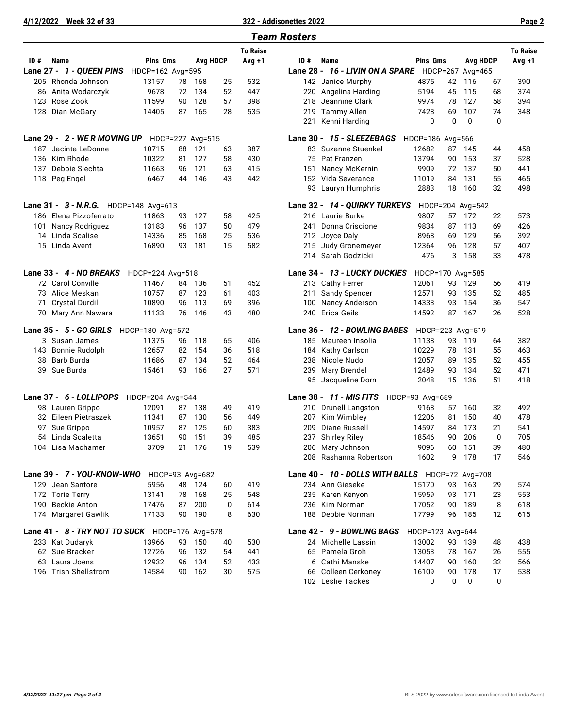**4/12/2022 Week 32 of 33 322 - Addisonettes 2022 Page 2**

|           |                                                |                  |    |                  |          |                 | <b>Team Rosters</b> |
|-----------|------------------------------------------------|------------------|----|------------------|----------|-----------------|---------------------|
|           |                                                |                  |    |                  |          | <b>To Raise</b> |                     |
| ID#       | Name                                           | Pins Gms         |    | <b>Ava HDCP</b>  |          | Avg +1          | ID#                 |
| Lane 27 - | 1 - QUEEN PINS                                 | HDCP=162 Avg=595 |    |                  |          |                 | <b>Lane 28</b>      |
| 205       | Rhonda Johnson                                 | 13157            | 78 | 168              | 25       | 532             | 142                 |
| 86        | Anita Wodarczyk                                | 9678             | 72 | 134              | 52       | 447             | 220                 |
|           | 123 Rose Zook                                  | 11599            | 90 | 128              | 57       | 398             | 218                 |
| 128       | Dian McGary                                    | 14405            | 87 | 165              | 28       | 535             | 219                 |
|           |                                                |                  |    |                  |          |                 | 221                 |
|           | Lane 29 - 2 - WE R MOVING UP                   |                  |    | HDCP=227 Avg=515 |          |                 | Lane 30             |
| 187       | Jacinta LeDonne                                | 10715            | 88 | 121              | 63       | 387             | 83                  |
| 136       | Kim Rhode                                      | 10322            | 81 | 127              | 58       | 430             | 75                  |
| 137       | Debbie Slechta                                 | 11663            | 96 | 121              | 63       | 415             | 151                 |
|           | 118 Peg Engel                                  | 6467             | 44 | 146              | 43       | 442             | 152                 |
|           |                                                |                  |    |                  |          |                 | 93                  |
|           | Lane 31 - 3 - N.R.G.                           | HDCP=148 Avg=613 |    |                  |          |                 | <b>Lane 32</b>      |
|           | 186 Elena Pizzoferrato                         | 11863            | 93 | 127              | 58       | 425             | 216                 |
| 101       | Nancy Rodriguez                                | 13183            | 96 | 137              | 50       | 479             | 241                 |
|           | 14 Linda Scalise                               | 14336            | 85 | 168              | 25       | 536             | 212                 |
|           | 15 Linda Avent                                 | 16890            | 93 | 181              | 15       | 582             | 215                 |
|           |                                                |                  |    |                  |          |                 | 214                 |
|           | Lane 33 - 4 - NO BREAKS                        | HDCP=224 Avg=518 |    |                  |          |                 | <b>Lane 34</b>      |
|           | 72 Carol Conville                              | 11467            | 84 | 136              | 51       | 452             | 213                 |
| 73        | Alice Meskan                                   | 10757            | 87 | 123              | 61       | 403             | 211                 |
| 71        | Crystal Durdil                                 | 10890            | 96 | 113              | 69       | 396             | 100                 |
| 70        | Mary Ann Nawara                                | 11133            | 76 | 146              | 43       | 480             | 240                 |
|           | Lane 35 - 5 - GO GIRLS                         | HDCP=180 Avg=572 |    |                  |          |                 | Lane 36             |
|           | 3 Susan James                                  | 11375            | 96 | 118              | 65       | 406             | 185                 |
|           | 143 Bonnie Rudolph                             | 12657            | 82 | 154              | 36       | 518             | 184                 |
| 38        | Barb Burda                                     | 11686            | 87 | 134              | 52       | 464             | 238                 |
| 39        | Sue Burda                                      | 15461            | 93 | 166              | 27       | 571             | 239<br>95           |
|           |                                                |                  |    |                  |          |                 |                     |
|           | Lane 37 - 6 - LOLLIPOPS                        | HDCP=204 Avg=544 |    |                  |          |                 | Lane 38             |
|           | 98 Lauren Grippo                               | 12091            | 87 | 138              | 49       | 419             | 210                 |
|           | 32 Eileen Pietraszek                           | 11341            | 87 | 130              | 56       | 449             | 207                 |
| 97        | Sue Grippo                                     | 10957            | 87 | 125              | 60       | 383             | 209                 |
|           | 54 Linda Scaletta                              | 13651            | 90 | 151              | 39       | 485             | 237                 |
|           | 104   Lisa Machamer                            | 3709             | 21 | 176              | 19       | 539             | 206<br>208          |
|           | Lane 39 - 7 - YOU-KNOW-WHO                     | HDCP=93 Avg=682  |    |                  |          |                 | Lane 40             |
|           | 129 Jean Santore                               | 5956             | 48 | 124              |          | 419             | 234                 |
|           | 172 Torie Terry                                | 13141            | 78 | 168              | 60<br>25 | 548             | 235                 |
|           | 190 Beckie Anton                               | 17476            | 87 | 200              | 0        | 614             | 236                 |
|           | 174 Margaret Gawlik                            | 17133            | 90 | 190              | 8        | 630             | 188                 |
|           | Lane 41 - 8 - TRY NOT TO SUCK HDCP=176 Avg=578 |                  |    |                  |          |                 |                     |
|           | 233 Kat Dudaryk                                | 13966            | 93 | 150              | 40       | 530             | Lane 42<br>24       |
|           | 62 Sue Bracker                                 | 12726            | 96 | 132              | 54       | 441             | 65                  |
|           | 63 Laura Joens                                 | 12932            | 96 | 134              | 52       | 433             | 6                   |
|           | 196 Trish Shellstrom                           | 14584            | 90 | 162              | 30       | 575             | 66                  |
|           |                                                |                  |    |                  |          |                 | 100                 |

|      |                                               |                  |    |                 |    | <b>To Raise</b> |     |                                                  |                  |              |                  |    | <b>To Raise</b> |
|------|-----------------------------------------------|------------------|----|-----------------|----|-----------------|-----|--------------------------------------------------|------------------|--------------|------------------|----|-----------------|
| ID # | Name                                          | <b>Pins Gms</b>  |    | <b>Avg HDCP</b> |    | Avg +1          | ID# | Name                                             | <b>Pins Gms</b>  |              | Avg HDCP         |    | Avg +1          |
|      | ane 27 - <i>1 - QUEEN PINS</i>                | HDCP=162 Avg=595 |    |                 |    |                 |     | Lane 28 - 16 - LIVIN ON A SPARE HDCP=267 Avg=465 |                  |              |                  |    |                 |
|      | 205 Rhonda Johnson                            | 13157            | 78 | 168             | 25 | 532             |     | 142 Janice Murphy                                | 4875             | 42           | 116              | 67 | 390             |
|      | 86 Anita Wodarczyk                            | 9678             | 72 | 134             | 52 | 447             |     | 220 Angelina Harding                             | 5194             | 45           | 115              | 68 | 374             |
| 123  | Rose Zook                                     | 11599            | 90 | 128             | 57 | 398             | 218 | Jeannine Clark                                   | 9974             | 78           | 127              | 58 | 394             |
| 128  | Dian McGary                                   | 14405            | 87 | 165             | 28 | 535             | 219 | <b>Tammy Allen</b>                               | 7428             | 69           | 107              | 74 | 348             |
|      |                                               |                  |    |                 |    |                 | 221 | Kenni Harding                                    | 0                | $\mathbf{0}$ | 0                | 0  |                 |
|      | ane 29 - <i>2 - WE R MOVING UP</i>            | HDCP=227 Avg=515 |    |                 |    |                 |     | Lane 30 - 15 - SLEEZEBAGS                        | HDCP=186 Avg=566 |              |                  |    |                 |
|      | 187 Jacinta LeDonne                           | 10715            | 88 | 121             | 63 | 387             |     | 83 Suzanne Stuenkel                              | 12682            | 87           | 145              | 44 | 458             |
|      | 136 Kim Rhode                                 | 10322            | 81 | 127             | 58 | 430             |     | 75 Pat Franzen                                   | 13794            | 90           | 153              | 37 | 528             |
| 137  | Debbie Slechta                                | 11663            | 96 | 121             | 63 | 415             | 151 | Nancy McKernin                                   | 9909             | 72           | 137              | 50 | 441             |
| 118  | Peg Engel                                     | 6467             | 44 | 146             | 43 | 442             | 152 | Vida Severance                                   | 11019            | 84           | 131              | 55 | 465             |
|      |                                               |                  |    |                 |    |                 |     | 93 Lauryn Humphris                               | 2883             | 18           | 160              | 32 | 498             |
|      | ane 31 - 3 - N.R.G. HDCP=148 Avg=613          |                  |    |                 |    |                 |     | Lane 32 - 14 - QUIRKY TURKEYS                    |                  |              | HDCP=204 Avg=542 |    |                 |
|      | 186 Elena Pizzoferrato                        | 11863            | 93 | 127             | 58 | 425             |     | 216 Laurie Burke                                 | 9807             | 57           | 172              | 22 | 573             |
| 101  | Nancy Rodriguez                               | 13183            | 96 | 137             | 50 | 479             | 241 | Donna Criscione                                  | 9834             | 87           | 113              | 69 | 426             |
|      | 14 Linda Scalise                              | 14336            | 85 | 168             | 25 | 536             | 212 | Joyce Daly                                       | 8968             | 69           | 129              | 56 | 392             |
|      | 15 Linda Avent                                | 16890            | 93 | 181             | 15 | 582             |     | 215 Judy Gronemeyer                              | 12364            | 96           | 128              | 57 | 407             |
|      |                                               |                  |    |                 |    |                 |     | 214 Sarah Godzicki                               | 476              | 3            | 158              | 33 | 478             |
|      | ane 33 - <i>4 - NO BREAKS</i>                 | HDCP=224 Avg=518 |    |                 |    |                 |     | Lane 34 - 13 - LUCKY DUCKIES                     |                  |              | HDCP=170 Avg=585 |    |                 |
|      | 72 Carol Conville                             | 11467            | 84 | 136             | 51 | 452             |     | 213 Cathy Ferrer                                 | 12061            | 93           | 129              | 56 | 419             |
|      | 73 Alice Meskan                               | 10757            | 87 | 123             | 61 | 403             | 211 | <b>Sandy Spencer</b>                             | 12571            | 93           | 135              | 52 | 485             |
| 71   | <b>Crystal Durdil</b>                         | 10890            | 96 | 113             | 69 | 396             | 100 | <b>Nancy Anderson</b>                            | 14333            | 93           | 154              | 36 | 547             |
| 70   | Mary Ann Nawara                               | 11133            | 76 | 146             | 43 | 480             | 240 | Erica Geils                                      | 14592            | 87           | 167              | 26 | 528             |
|      | ane 35 - <i>5 - GO GIRLS</i>                  | HDCP=180 Avg=572 |    |                 |    |                 |     | Lane 36 - 12 - BOWLING BABES                     |                  |              | HDCP=223 Avg=519 |    |                 |
|      | 3 Susan James                                 | 11375            | 96 | 118             | 65 | 406             |     | 185 Maureen Insolia                              | 11138            | 93           | 119              | 64 | 382             |
| 143  | Bonnie Rudolph                                | 12657            | 82 | 154             | 36 | 518             | 184 | Kathy Carlson                                    | 10229            | 78           | 131              | 55 | 463             |
| 38   | Barb Burda                                    | 11686            | 87 | 134             | 52 | 464             | 238 | Nicole Nudo                                      | 12057            | 89           | 135              | 52 | 455             |
| 39   | Sue Burda                                     | 15461            | 93 | 166             | 27 | 571             | 239 | Mary Brendel                                     | 12489            | 93           | 134              | 52 | 471             |
|      |                                               |                  |    |                 |    |                 |     | 95 Jacqueline Dorn                               | 2048             | 15           | 136              | 51 | 418             |
|      | ane 37 - 6 - LOLLIPOPS                        | HDCP=204 Avg=544 |    |                 |    |                 |     | Lane 38 - 11 - MIS FITS                          | HDCP=93 Avg=689  |              |                  |    |                 |
|      | 98 Lauren Grippo                              | 12091            | 87 | 138             | 49 | 419             | 210 | <b>Drunell Langston</b>                          | 9168             | 57           | 160              | 32 | 492             |
|      | 32 Eileen Pietraszek                          | 11341            | 87 | 130             | 56 | 449             | 207 | Kim Wimbley                                      | 12206            | 81           | 150              | 40 | 478             |
| 97   | Sue Grippo                                    | 10957            | 87 | 125             | 60 | 383             | 209 | Diane Russell                                    | 14597            | 84           | 173              | 21 | 541             |
| 54   | Linda Scaletta                                | 13651            | 90 | 151             | 39 | 485             | 237 | <b>Shirley Riley</b>                             | 18546            | 90           | 206              | 0  | 705             |
|      | 104 Lisa Machamer                             | 3709             | 21 | 176             | 19 | 539             |     | 206 Mary Johnson                                 | 9096             | 60           | 151              | 39 | 480             |
|      |                                               |                  |    |                 |    |                 |     | 208 Rashanna Robertson                           | 1602             | 9            | 178              | 17 | 546             |
|      | ane 39 - 7 - YOU-KNOW-WHO HDCP=93 Avg=682     |                  |    |                 |    |                 |     | Lane 40 - 10 - DOLLS WITH BALLS HDCP=72 Avg=708  |                  |              |                  |    |                 |
|      | 129 Jean Santore                              | 5956             |    | 48 124          | 60 | 419             |     | 234 Ann Gieseke                                  | 15170            |              | 93 163           | 29 | 574             |
|      | 172 Torie Terry                               | 13141            | 78 | 168             | 25 | 548             |     | 235 Karen Kenyon                                 | 15959            | 93           | 171              | 23 | 553             |
|      | 190 Beckie Anton                              | 17476            | 87 | 200             | 0  | 614             |     | 236 Kim Norman                                   | 17052            | 90           | 189              | 8  | 618             |
|      | 174 Margaret Gawlik                           | 17133            | 90 | 190             | 8  | 630             |     | 188 Debbie Norman                                | 17799            | 96           | 185              | 12 | 615             |
|      | ane 41 - 8 - TRY NOT TO SUCK HDCP=176 Avg=578 |                  |    |                 |    |                 |     | Lane 42 - 9 - BOWLING BAGS                       | HDCP=123 Avg=644 |              |                  |    |                 |
|      | 233 Kat Dudaryk                               | 13966            |    | 93 150          | 40 | 530             |     | 24 Michelle Lassin                               | 13002            |              | 93 139           | 48 | 438             |
|      | 62 Sue Bracker                                | 12726            | 96 | 132             | 54 | 441             |     | 65 Pamela Groh                                   | 13053            | 78           | 167              | 26 | 555             |
|      | 63 Laura Joens                                | 12932            | 96 | 134             | 52 | 433             |     | 6 Cathi Manske                                   | 14407            | 90           | 160              | 32 | 566             |
|      | 196 Trish Shellstrom                          | 14584            |    | 90 162          | 30 | 575             |     | 66 Colleen Cerkoney                              | 16109            | 90           | 178              | 17 | 538             |
|      |                                               |                  |    |                 |    |                 |     | 102 Leslie Tackes                                | 0                | 0            | 0                | 0  |                 |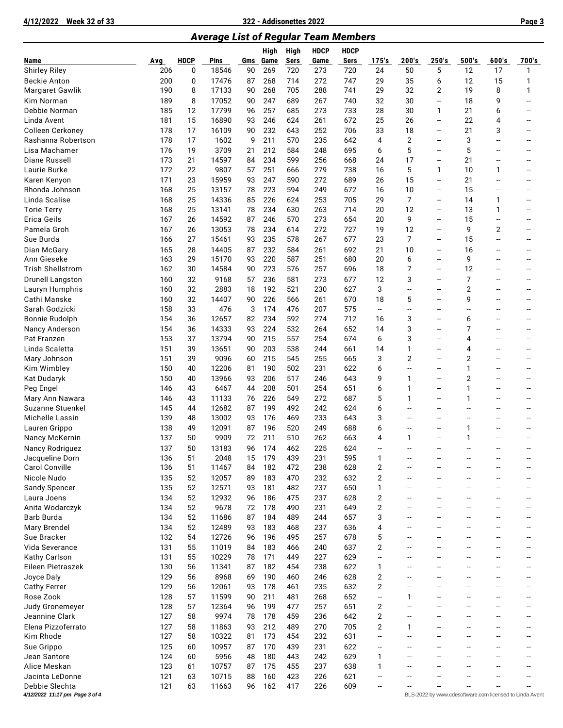**4/12/2022 Week 32 of 33 322 - Addisonettes 2022 Page 3**

*Average List of Regular Team Members*

|                                   |            |             |                |          | <b>High</b> | High        | <b>HDCP</b> | <b>HDCP</b> |                          |                          |                                                      |                          |                          |                                                         |
|-----------------------------------|------------|-------------|----------------|----------|-------------|-------------|-------------|-------------|--------------------------|--------------------------|------------------------------------------------------|--------------------------|--------------------------|---------------------------------------------------------|
| Name                              | Avg        | <b>HDCP</b> | Pins           | Gms      | Game        | <b>Sers</b> | Game        | Sers        | 175's                    | 200's                    | 250's                                                | 500's                    | 600's                    | 700's                                                   |
| <b>Shirley Riley</b>              | 206        | 0           | 18546          | 90       | 269         | 720         | 273         | 720         | 24                       | 50                       | 5                                                    | 12                       | 17                       | 1                                                       |
| <b>Beckie Anton</b>               | 200        | 0           | 17476          | 87       | 268         | 714         | 272         | 747         | 29                       | 35                       | 6                                                    | 12                       | 15                       | 1                                                       |
| Margaret Gawlik                   | 190        | 8           | 17133          | 90       | 268         | 705         | 288         | 741         | 29                       | 32                       | $\overline{2}$                                       | 19                       | 8                        | 1                                                       |
| Kim Norman                        | 189        | 8           | 17052          | 90       | 247         | 689         | 267         | 740         | 32                       | 30                       | $\overline{\phantom{a}}$                             | 18                       | 9                        |                                                         |
| Debbie Norman                     | 185        | 12          | 17799          | 96       | 257         | 685         | 273         | 733         | 28                       | 30                       | $\mathbf{1}$                                         | 21                       | 6                        |                                                         |
| Linda Avent                       | 181        | 15          | 16890          | 93       | 246         | 624         | 261         | 672         | 25                       | 26                       | $\overline{\phantom{a}}$                             | 22                       | 4                        |                                                         |
| Colleen Cerkoney                  | 178        | 17          | 16109          | 90       | 232         | 643         | 252         | 706         | 33                       | 18                       | $\overline{\phantom{a}}$                             | 21                       | 3                        |                                                         |
| Rashanna Robertson                | 178        | 17          | 1602           | 9        | 211         | 570         | 235         | 642         | 4                        | $\overline{2}$           | $\overline{\phantom{a}}$                             | 3                        | --                       |                                                         |
| Lisa Machamer                     | 176        | 19          | 3709           | 21       | 212         | 584         | 248         | 695         | 6                        | 5                        | $\overline{\phantom{a}}$                             | 5                        | --                       |                                                         |
| Diane Russell                     | 173        | 21          | 14597          | 84       | 234         | 599         | 256         | 668         | 24                       | 17                       | $\overline{\phantom{a}}$                             | 21                       | --                       | --                                                      |
| Laurie Burke                      | 172        | 22          | 9807           | 57       | 251         | 666         | 279         | 738         | 16                       | 5                        | 1                                                    | 10                       | 1                        | --                                                      |
| Karen Kenyon                      | 171        | 23          | 15959          | 93       | 247         | 590         | 272         | 689         | 26                       | 15                       | $\overline{\phantom{a}}$                             | 21                       | --                       |                                                         |
| Rhonda Johnson                    | 168        | 25          | 13157          | 78       | 223         | 594         | 249         | 672         | 16                       | 10                       | $\overline{\phantom{a}}$                             | 15                       | Ξ.                       |                                                         |
| Linda Scalise                     | 168        | 25          | 14336          | 85       | 226         | 624         | 253         | 705         | 29                       | 7                        | $\overline{\phantom{a}}$                             | 14                       | 1                        | --                                                      |
| <b>Torie Terry</b>                | 168        | 25          | 13141          | 78       | 234         | 630         | 263         | 714         | 20                       | 12                       | $\overline{\phantom{a}}$                             | 13                       | 1                        |                                                         |
| Erica Geils                       | 167        | 26          | 14592          | 87       | 246         | 570         | 273         | 654         | 20                       | 9                        | $\overline{\phantom{a}}$                             | 15                       | --                       |                                                         |
| Pamela Groh                       | 167        | 26          | 13053          | 78       | 234         | 614         | 272         | 727         | 19                       | 12                       | $\overline{\phantom{a}}$                             | 9                        | 2                        |                                                         |
| Sue Burda                         | 166        | 27          | 15461          | 93       | 235         | 578         | 267         | 677         | 23                       | 7                        | $\overline{\phantom{a}}$                             | 15                       | --                       |                                                         |
| Dian McGary                       | 165        | 28          | 14405          | 87       | 232         | 584         | 261         | 692         | 21                       | 10                       | $\overline{\phantom{a}}$                             | 16                       | --                       |                                                         |
| Ann Gieseke                       | 163        | 29          | 15170          | 93       | 220         | 587         | 251         | 680         | 20                       | 6                        | $\overline{\phantom{a}}$                             | 9                        | --                       | --                                                      |
| <b>Trish Shellstrom</b>           | 162        | 30          | 14584          | 90       | 223         | 576         | 257         | 696         | 18                       | 7                        | $\overline{\phantom{a}}$                             | 12                       | --                       |                                                         |
| <b>Drunell Langston</b>           | 160        | 32          | 9168           | 57       | 236         | 581         | 273         | 677         | 12                       | 3                        | $\overline{\phantom{a}}$                             | 7                        | --                       |                                                         |
| Lauryn Humphris                   | 160        | 32          | 2883           | 18       | 192         | 521         | 230         | 627         | 3                        | --                       | $\overline{\phantom{a}}$                             | $\overline{2}$           | Ξ.                       |                                                         |
| Cathi Manske                      | 160        | 32          | 14407          | 90       | 226         | 566         | 261         | 670         | 18                       | 5                        | $\overline{\phantom{a}}$                             | 9                        | --                       |                                                         |
| Sarah Godzicki                    | 158        | 33          | 476            | 3        | 174         | 476         | 207         | 575         | $\overline{\phantom{a}}$ | --                       | --                                                   | --                       | Ξ.                       |                                                         |
| <b>Bonnie Rudolph</b>             | 154        | 36          | 12657          | 82       | 234         | 592         | 274         | 712         | 16                       | 3                        | $\overline{\phantom{a}}$                             | 6                        | --                       |                                                         |
| Nancy Anderson                    | 154        | 36          | 14333          | 93       | 224         | 532         | 264         | 652         | 14                       | 3                        | --                                                   | 7                        | --                       |                                                         |
| Pat Franzen                       | 153        | 37          | 13794          | 90       | 215         | 557         | 254         | 674         | 6                        | 3                        | $\overline{\phantom{a}}$                             | 4                        | --                       | --                                                      |
| Linda Scaletta                    | 151        | 39          | 13651          | 90       | 203         | 538         | 244         | 661         | 14                       | 1                        | $\overline{\phantom{a}}$                             | 4                        | --                       |                                                         |
| Mary Johnson                      | 151        | 39          | 9096           | 60       | 215         | 545         | 255         | 665         | 3                        | 2                        | $\overline{\phantom{a}}$                             | $\overline{2}$           | Ξ.                       |                                                         |
| Kim Wimbley                       | 150        | 40          | 12206          | 81       | 190         | 502         | 231         | 622         | 6                        | --                       | $\overline{\phantom{a}}$                             | 1                        | --                       |                                                         |
| Kat Dudaryk                       | 150        | 40          | 13966          | 93       | 206         | 517         | 246         | 643         | 9                        | 1                        | $\overline{\phantom{a}}$                             | 2                        | --                       |                                                         |
| Peg Engel                         | 146        | 43          | 6467           | 44       | 208         | 501         | 254         | 651         | 6                        | 1                        | $\overline{\phantom{a}}$                             | $\mathbf{1}$             | Ξ.                       | --                                                      |
| Mary Ann Nawara                   | 146        | 43          | 11133          | 76       | 226         | 549         | 272         | 687         | 5                        | 1                        | $\overline{\phantom{a}}$                             | 1                        | --                       |                                                         |
| Suzanne Stuenkel                  | 145        | 44          | 12682          | 87       | 199         | 492         | 242         | 624         | 6                        | --                       | $\overline{\phantom{a}}$                             | --                       | --                       |                                                         |
| Michelle Lassin                   | 139        | 48          | 13002          | 93       | 176         | 469         | 233         | 643         | 3                        | --                       | $\overline{\phantom{a}}$                             | --                       | --                       |                                                         |
| Lauren Grippo                     | 138        | 49          | 12091          | 87       | 196         | 520         | 249         | 688         | 6                        | --                       | --                                                   | 1                        | --                       |                                                         |
| Nancy McKernin                    | 137        | 50          | 9909           | 72       | 211         | 510         | 262         | 663         | 4                        | 1                        | $\overline{\phantom{a}}$                             | 1                        |                          |                                                         |
| Nancy Rodriguez                   | 137        | 50          | 13183          | 96       | 174         | 462         | 225         | 624         |                          | $\overline{\phantom{a}}$ |                                                      | $\overline{a}$           |                          |                                                         |
| Jacqueline Dorn                   | 136        | 51          | 2048           |          | 15 179      | 439         | 231         | 595         | 1                        |                          |                                                      |                          |                          |                                                         |
| <b>Carol Conville</b>             | 136        | 51          | 11467          | 84       | 182         | 472         | 238         | 628         | 2                        | --                       |                                                      |                          |                          |                                                         |
| Nicole Nudo                       | 135        | 52          | 12057          | 89       | 183         | 470         | 232         | 632         | 2                        | --                       |                                                      |                          |                          |                                                         |
| Sandy Spencer                     | 135        | 52          | 12571          | 93       | 181         | 482         | 237         | 650         | 1                        | --                       | $\overline{\phantom{a}}$                             | $\overline{\phantom{a}}$ | --                       | -−                                                      |
| Laura Joens                       | 134        | 52          | 12932          | 96       | 186         | 475         | 237         | 628         | $\overline{2}$           | --                       | $\overline{\phantom{a}}$                             | --                       | --                       | --                                                      |
| Anita Wodarczyk                   | 134        | 52          | 9678           | 72       | 178         | 490         | 231         | 649         | $\overline{2}$           | --                       | --                                                   | --                       | --                       | --                                                      |
| Barb Burda                        | 134        | 52          | 11686          | 87       | 184         | 489         | 244         | 657         | 3                        | --                       | $\overline{\phantom{a}}$                             | --                       | --                       | --                                                      |
| Mary Brendel                      | 134        | 52          | 12489          | 93       | 183         | 468         | 237         | 636         | 4                        | --                       | --                                                   | --                       | --                       | --                                                      |
| Sue Bracker                       | 132        | 54          | 12726          | 96       | 196         | 495         | 257         | 678         | 5                        | --                       | $\overline{\phantom{a}}$                             | $\overline{\phantom{a}}$ | Ξ.                       | --                                                      |
| Vida Severance                    | 131        | 55          | 11019          | 84       | 183         | 466         | 240         | 637         | $\overline{2}$           | --                       | $\overline{\phantom{a}}$                             | --                       | --                       | --                                                      |
| Kathy Carlson                     | 131        | 55          | 10229          | 78       | 171         | 449         | 227         | 629         | $\overline{\phantom{a}}$ | --                       | $\overline{\phantom{a}}$                             | --                       | --                       | --                                                      |
| Eileen Pietraszek                 | 130        | 56          | 11341          | 87       | 182         | 454         | 238         | 622         | 1                        | --                       | $\overline{\phantom{a}}$                             | --                       | --                       |                                                         |
| Joyce Daly                        | 129        | 56          | 8968           | 69       | 190         | 460         | 246         | 628         | 2                        | --                       | --                                                   | --                       | --                       |                                                         |
| <b>Cathy Ferrer</b>               | 129        | 56          | 12061          | 93       | 178         | 461         | 235         | 632         | $\overline{2}$           | --                       | $\overline{\phantom{a}}$                             | $\overline{\phantom{a}}$ | $\overline{\phantom{a}}$ | -−                                                      |
| Rose Zook                         | 128        | 57          | 11599          | 90       | 211         | 481         | 268         | 652         | $\overline{\phantom{a}}$ | 1                        | $\overline{\phantom{a}}$                             | $\overline{\phantom{0}}$ | --                       |                                                         |
| Judy Gronemeyer<br>Jeannine Clark | 128<br>127 | 57<br>58    | 12364<br>9974  | 96<br>78 | 199<br>178  | 477<br>459  | 257<br>236  | 651<br>642  | $\overline{2}$<br>2      | --<br>--                 | --<br>$\overline{\phantom{a}}$                       | --<br>--                 | --<br>--                 |                                                         |
| Elena Pizzoferrato                |            |             |                |          |             |             |             | 705         | $\overline{2}$           |                          | --                                                   | --                       |                          |                                                         |
|                                   | 127        | 58          | 11863          | 93       | 212         | 489<br>454  | 270         | 631         | --                       | 1<br>--                  | $\overline{\phantom{a}}$                             | $\overline{\phantom{a}}$ | --<br>Ξ.                 | -−                                                      |
| Kim Rhode                         | 127<br>125 | 58          | 10322<br>10957 | 81       | 173<br>170  |             | 232         | 622         | --                       | --                       |                                                      |                          | --                       |                                                         |
| Sue Grippo<br>Jean Santore        | 124        | 60<br>60    | 5956           | 87       | 180         | 439<br>443  | 231<br>242  | 629         | 1                        | --                       | $\overline{\phantom{a}}$<br>$\overline{\phantom{a}}$ | --<br>--                 | --                       |                                                         |
| Alice Meskan                      | 123        | 61          | 10757          | 48<br>87 | 175         | 455         | 237         | 638         | 1                        | --                       | $\overline{\phantom{a}}$                             | $\overline{a}$           |                          |                                                         |
|                                   |            |             |                |          |             |             |             |             | --                       |                          |                                                      |                          |                          |                                                         |
| Jacinta LeDonne<br>Debbie Slechta | 121<br>121 | 63<br>63    | 10715<br>11663 | 88<br>96 | 160<br>162  | 423<br>417  | 226<br>226  | 621<br>609  |                          |                          |                                                      |                          |                          |                                                         |
| 4/12/2022 11:17 pm Page 3 of 4    |            |             |                |          |             |             |             |             |                          |                          |                                                      |                          |                          | BLS-2022 by www.cdesoftware.com licensed to Linda Avent |